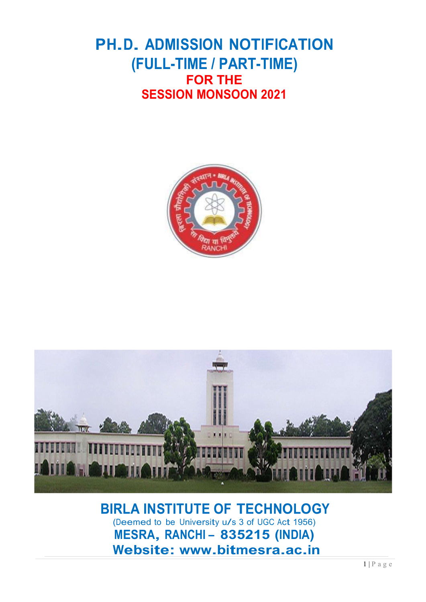## PH.D. ADMISSION NOTIFICATION (FULL-TIME / PART-TIME) FOR THE SESSION MONSOON 2021





# BIRLA INSTITUTE OF TECHNOLOGY (Deemed to be University u/s 3 of UGC Act 1956)<br>MESRA, RANCHI - 835215 (INDIA) Website: www.bitmesra.ac.in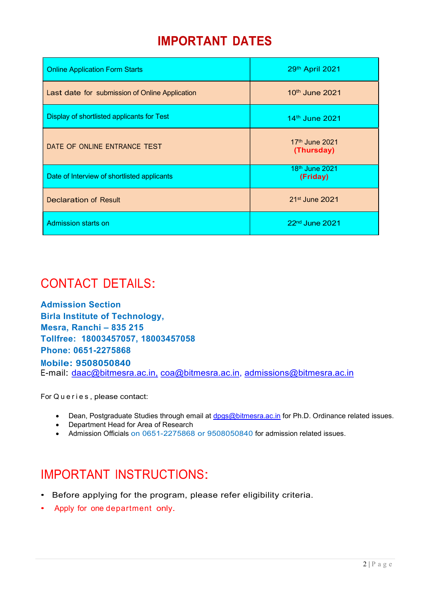### IMPORTANT DATES

| <b>Online Application Form Starts</b>          | 29th April 2021                        |
|------------------------------------------------|----------------------------------------|
| Last date for submission of Online Application | 10th June 2021                         |
| Display of shortlisted applicants for Test     | 14th June 2021                         |
| DATE OF ONLINE ENTRANCE TEST                   | 17th June 2021<br>(Thursday)           |
| Date of Interview of shortlisted applicants    | 18 <sup>th</sup> June 2021<br>(Friday) |
| <b>Declaration of Result</b>                   | 21 <sup>st</sup> June 2021             |
| Admission starts on                            | 22 <sup>nd</sup> June 2021             |

### CONTACT DETAILS:

Admission Section Birla Institute of Technology, Mesra, Ranchi – 835 215 Tollfree: 18003457057, 18003457058 Phone: 0651-2275868 Mobile: 9508050840

E-mail: daac@bitmesra.ac.in, coa@bitmesra.ac.in, admissions@bitmesra.ac.in

For Queries, please contact:

- Dean, Postgraduate Studies through email at dpgs@bitmesra.ac.in for Ph.D. Ordinance related issues.
- Department Head for Area of Research
- Admission Officials on 0651-2275868 or 9508050840 for admission related issues.

### IMPORTANT INSTRUCTIONS:

- Before applying for the program, please refer eligibility criteria.
- Apply for one department only.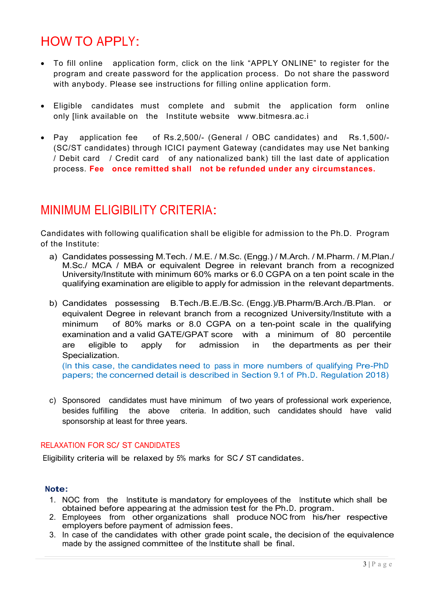### HOW TO APPLY:

- To fill online application form, click on the link "APPLY ONLINE" to register for the program and create password for the application process. Do not share the password with anybody. Please see instructions for filling online application form.
- Eligible candidates must complete and submit the application form online only [link available on the Institute website www.bitmesra.ac.i
- Pay application fee of Rs.2,500/- (General / OBC candidates) and Rs.1,500/- (SC/ST candidates) through ICICI payment Gateway (candidates may use Net banking / Debit card / Credit card of any nationalized bank) till the last date of application process. Fee once remitted shall not be refunded under any circumstances.

### MINIMUM ELIGIBILITY CRITERIA:

Candidates with following qualification shall be eligible for admission to the Ph.D. Program of the Institute:

- a) Candidates possessing M.Tech. / M.E. / M.Sc. (Engg.) / M.Arch. / M.Pharm. / M.Plan./ M.Sc./ MCA / MBA or equivalent Degree in relevant branch from a recognized University/Institute with minimum 60% marks or 6.0 CGPA on a ten point scale in the qualifying examination are eligible to apply for admission in the relevant departments.
- b) Candidates possessing B.Tech./B.E./B.Sc. (Engg.)/B.Pharm/B.Arch./B.Plan. or equivalent Degree in relevant branch from a recognized University/Institute with a minimum of 80% marks or 8.0 CGPA on a ten-point scale in the qualifying examination and a valid GATE/GPAT score with a minimum of 80 percentile are eligible to apply for admission in the departments as per their Specialization.

(In this case, the candidates need to pass in more numbers of qualifying Pre-PhD papers; the concerned detail is described in Section 9.1 of Ph.D. Regulation 2018)

c) Sponsored candidates must have minimum of two years of professional work experience, besides fulfilling the above criteria. In addition, such candidates should have valid sponsorship at least for three years.

#### RELAXATION FOR SC/ ST CANDIDATES

Eligibility criteria will be relaxed by 5% marks for SC / ST candidates.

#### Note:

- 1. NOC from the Institute is mandatory for employees of the Institute which shall be obtained before appearing at the admission test for the Ph.D. program.
- 2. Employees from other organizations shall produce NOC from his/her respective employers before payment of admission fees.
- 3. In case of the candidates with other grade point scale, the decision of the equivalence made by the assigned committee of the Institute shall be final.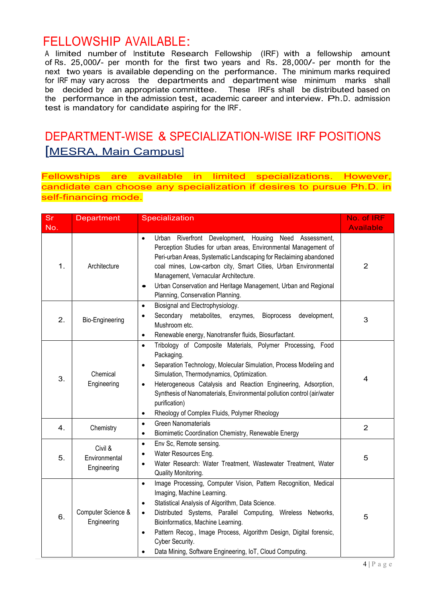**FELLOWSHIP AVAILABLE:**<br>A limited number\_of Institute Research Fellowship (IRF) with a fellowship amount of Rs. 25,000/- per month for the first two years and Rs. 28,000/- per month for the next two years is available depending on the performance. The minimum marks required for IRF may vary across the departments and department wise minimum marks shall be decided by an appropriate committee. These IRFs shall be distributed based on the performance in the admission test, academic career and interview. Ph.D. admission test is mandatory for candidate aspiring for the IRF.

### DEPARTMENT-WISE & SPECIALIZATION-WISE IRF POSITIONS [MESRA, Main Campus]

Fellowships are available in limited specializations. However, candidate can choose any specialization if desires to pursue Ph.D. in self-financing mode.

| <b>Sr</b> | Department                              | Specialization                                                                                                                                                                                                                                                                                                                                                                                                                                                 | No. of IRF       |
|-----------|-----------------------------------------|----------------------------------------------------------------------------------------------------------------------------------------------------------------------------------------------------------------------------------------------------------------------------------------------------------------------------------------------------------------------------------------------------------------------------------------------------------------|------------------|
| No.       |                                         |                                                                                                                                                                                                                                                                                                                                                                                                                                                                | <b>Available</b> |
| 1.        | Architecture                            | Urban Riverfront Development, Housing Need Assessment,<br>$\bullet$<br>Perception Studies for urban areas, Environmental Management of<br>Peri-urban Areas, Systematic Landscaping for Reclaiming abandoned<br>coal mines, Low-carbon city, Smart Cities, Urban Environmental<br>Management, Vernacular Architecture.<br>Urban Conservation and Heritage Management, Urban and Regional<br>$\bullet$<br>Planning, Conservation Planning.                       | $\overline{2}$   |
| 2.        | Bio-Engineering                         | Biosignal and Electrophysiology.<br>$\bullet$<br>Secondary metabolites, enzymes,<br>Bioprocess<br>development,<br>$\bullet$<br>Mushroom etc.<br>Renewable energy, Nanotransfer fluids, Biosurfactant.<br>$\bullet$                                                                                                                                                                                                                                             | 3                |
| 3.        | Chemical<br>Engineering                 | Tribology of Composite Materials, Polymer Processing, Food<br>$\bullet$<br>Packaging.<br>Separation Technology, Molecular Simulation, Process Modeling and<br>$\bullet$<br>Simulation, Thermodynamics, Optimization.<br>Heterogeneous Catalysis and Reaction Engineering, Adsorption,<br>$\bullet$<br>Synthesis of Nanomaterials, Environmental pollution control (air/water<br>purification)<br>Rheology of Complex Fluids, Polymer Rheology<br>$\bullet$     | 4                |
| 4.        | Chemistry                               | <b>Green Nanomaterials</b><br>$\bullet$<br>Biomimetic Coordination Chemistry, Renewable Energy<br>$\bullet$                                                                                                                                                                                                                                                                                                                                                    | $\overline{2}$   |
| 5.        | Civil &<br>Environmental<br>Engineering | Env Sc, Remote sensing.<br>$\bullet$<br>Water Resources Eng.<br>$\bullet$<br>Water Research: Water Treatment, Wastewater Treatment, Water<br>$\bullet$<br>Quality Monitoring.                                                                                                                                                                                                                                                                                  | 5                |
| 6.        | Computer Science &<br>Engineering       | Image Processing, Computer Vision, Pattern Recognition, Medical<br>$\bullet$<br>Imaging, Machine Learning.<br>Statistical Analysis of Algorithm, Data Science.<br>$\bullet$<br>Distributed Systems, Parallel Computing, Wireless Networks,<br>$\bullet$<br>Bioinformatics, Machine Learning.<br>Pattern Recog., Image Process, Algorithm Design, Digital forensic,<br>$\bullet$<br>Cyber Security.<br>Data Mining, Software Engineering, IoT, Cloud Computing. | 5                |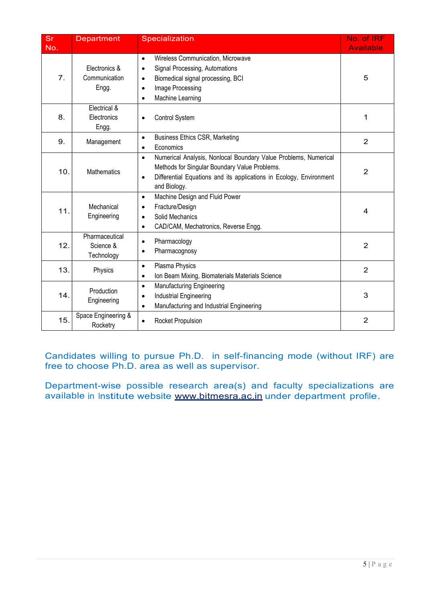| <b>Sr</b><br>No. | <b>Department</b>                         | Specialization                                                                                                                                                                                                                    | No. of IRF<br><b>Available</b> |
|------------------|-------------------------------------------|-----------------------------------------------------------------------------------------------------------------------------------------------------------------------------------------------------------------------------------|--------------------------------|
| 7.               | Electronics &<br>Communication<br>Engg.   | Wireless Communication, Microwave<br>$\bullet$<br>Signal Processing, Automations<br>$\bullet$<br>Biomedical signal processing, BCI<br>$\bullet$<br>Image Processing<br>$\bullet$<br>Machine Learning<br>$\bullet$                 | 5                              |
| 8.               | Electrical &<br>Electronics<br>Engg.      | Control System<br>$\bullet$                                                                                                                                                                                                       | 1                              |
| 9.               | Management                                | <b>Business Ethics CSR, Marketing</b><br>$\bullet$<br>Economics<br>$\bullet$                                                                                                                                                      | $\overline{2}$                 |
| 10.              | Mathematics                               | Numerical Analysis, Nonlocal Boundary Value Problems, Numerical<br>$\bullet$<br>Methods for Singular Boundary Value Problems.<br>Differential Equations and its applications in Ecology, Environment<br>$\bullet$<br>and Biology. | $\overline{2}$                 |
| 11.              | Mechanical<br>Engineering                 | Machine Design and Fluid Power<br>$\bullet$<br>Fracture/Design<br>$\bullet$<br>Solid Mechanics<br>$\bullet$<br>CAD/CAM, Mechatronics, Reverse Engg.<br>$\bullet$                                                                  | 4                              |
| 12.              | Pharmaceutical<br>Science &<br>Technology | Pharmacology<br>$\bullet$<br>Pharmacognosy<br>$\bullet$                                                                                                                                                                           | $\overline{2}$                 |
| 13.              | Physics                                   | Plasma Physics<br>$\bullet$<br>Ion Beam Mixing, Biomaterials Materials Science<br>$\bullet$                                                                                                                                       | $\overline{2}$                 |
| 14.              | Production<br>Engineering                 | <b>Manufacturing Engineering</b><br>$\bullet$<br>Industrial Engineering<br>$\bullet$<br>Manufacturing and Industrial Engineering<br>$\bullet$                                                                                     | 3                              |
| 15.              | Space Engineering &<br>Rocketry           | Rocket Propulsion<br>$\bullet$                                                                                                                                                                                                    | $\overline{2}$                 |

Candidates willing to pursue Ph.D. in self-financing mode (without IRF) are free to choose Ph.D. area as well as supervisor.

Department-wise possible research area(s) and faculty specializations are available in Institute website www.bitmesra.ac.in under department profile.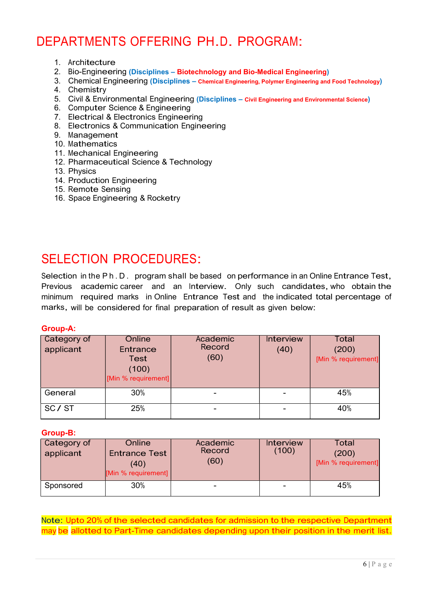### DEPARTMENTS OFFERING PH.D. PROGRAM:

- 1. Architecture
- 2. Bio-Engineering (Disciplines Biotechnology and Bio-Medical Engineering)
- 3. Chemical Engineering (Disciplines Chemical Engineering, Polymer Engineering and Food Technology)
- 4. Chemistry
- 5. Civil & Environmental Engineering (Disciplines Civil Engineering and Environmental Science)
- 6. Computer Science & Engineering
- 7. Electrical & Electronics Engineering
- 8. Electronics & Communication Engineering
- 9. Management
- 10. Mathematics
- 11. Mechanical Engineering
- 12. Pharmaceutical Science & Technolog<sup>y</sup>
- 13. Physics
- 14. Production Engineering
- 15. Remote Sensing
- 16. Space Engineering & Rocketry

### SELECTION PROCEDURES:

Selection in the P h . D . program shall be based on performance in an Online Entrance Test, Previous academic career and an Interview. Only such candidates, who obtain the minimum required marks in Online Entrance Test and the indicated total percentage of marks, will be considered for final preparation of result as given below:

#### Group-A:

| Category of<br>applicant | Online<br>Entrance<br>Test<br>(100)<br>[Min % requirement] | Academic<br>Record<br>(60) | <b>Interview</b><br>(40) | Total<br>(200)<br>[Min % requirement] |
|--------------------------|------------------------------------------------------------|----------------------------|--------------------------|---------------------------------------|
| General                  | 30%                                                        | $\overline{\phantom{0}}$   |                          | 45%                                   |
| SC/ST                    | 25%                                                        | $\sim$                     | -                        | 40%                                   |

#### Group-B:

| Category of<br>applicant | Online<br><b>Entrance Test</b><br>(40)<br>[Min % requirement] | Academic<br>Record<br>(60) | <b>Interview</b><br>(100) | Total<br>(200)<br>[Min % requirement] |
|--------------------------|---------------------------------------------------------------|----------------------------|---------------------------|---------------------------------------|
| Sponsored                | 30%                                                           | $\overline{\phantom{0}}$   |                           | 45%                                   |

Note: Upto 20% of the selected candidates for admission to the respective Department may be allotted to Part-Time candidates depending upon their position in the merit list.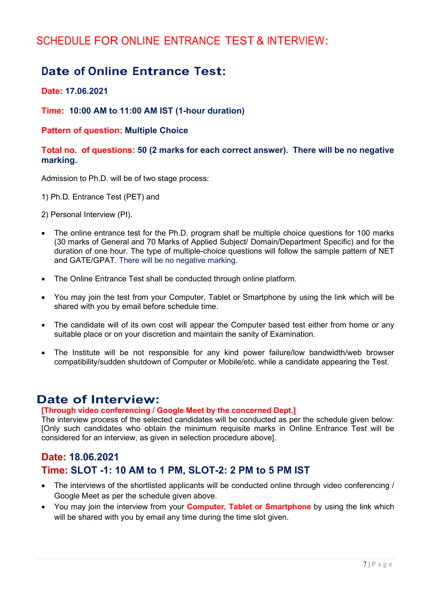### SCHEDULE FOR ONLINE ENTRANCE TEST & INTERVIEW:

### Date of Online Entrance Test:

Date: 17.06.2021

#### Time: 10:00 AM to 11:00 AM IST (1-hour duration)

#### Pattern of question: Multiple Choice

#### Total no. of questions: 50 (2 marks for each correct answer). There will be no negative marking.

Admission to Ph.D. will be of two stage process:

1) Ph.D. Entrance Test (PET) and

2) Personal Interview (PI).

- The online entrance test for the Ph.D. program shall be multiple choice questions for 100 marks (30 marks of General and 70 Marks of Applied Subject/ Domain/Department Specific) and for the duration of one hour. The type of multiple-choice questions will follow the sample pattern of NET and GATE/GPAT. There will be no negative marking.
- The Online Entrance Test shall be conducted through online platform.
- You may join the test from your Computer, Tablet or Smartphone by using the link which will be shared with you by email before schedule time.
- The candidate will of its own cost will appear the Computer based test either from home or any suitable place or on your discretion and maintain the sanity of Examination.
- The Institute will be not responsible for any kind power failure/low bandwidth/web browser compatibility/sudden shutdown of Computer or Mobile/etc. while a candidate appearing the Test.

### Date of Interview:

#### [Through video conferencing / Google Meet by the concerned Dept.]

The interview process of the selected candidates will be conducted as per the schedule given below: [Only such candidates who obtain the minimum requisite marks in Online Entrance Test will be considered for an interview, as given in selection procedure above].

### Date: 18.06.2021 Time: SLOT -1: 10 AM to 1 PM, SLOT-2: 2 PM to 5 PM IST

- The interviews of the shortlisted applicants will be conducted online through video conferencing / Google Meet as per the schedule given above.
- You may join the interview from your **Computer, Tablet or Smartphone** by using the link which will be shared with you by email any time during the time slot given.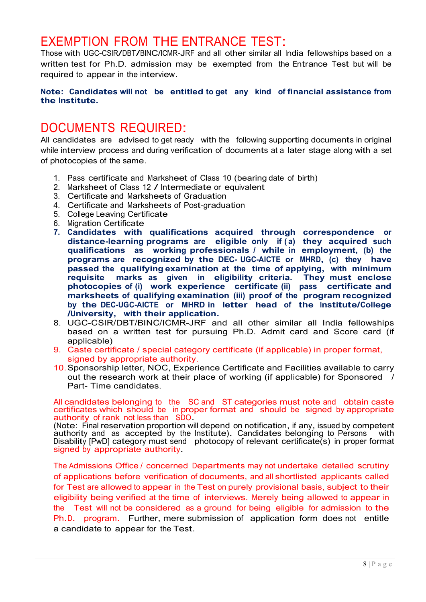### EXEMPTION FROM THE ENTRANCE TEST:

Those with UGC-CSIR/DBT/BINC/ICMR-JRF and all other similar all India fellowships based on a written test for Ph.D. admission may be exempted from the Entrance Test but will be required to appear in the interview.

#### Note: Candidates will not be entitled to get any kind of financial assistance from the Institute.

### DOCUMENTS REQUIRED:

All candidates are advised to get ready with the following supporting documents in original while interview process and during verification of documents at a later stage along with a set of photocopies of the same.

- 1. Pass certificate and Marksheet of Class 10 (bearing date of birth)
- 2. Marksheet of Class 12 / Intermediate or equivalent
- 3. Certificate and Marksheets of Graduation
- 4. Certificate and Marksheets of Post-graduation
- 5. College Leaving Certificate
- 6. Migration Certificate
- 7. Candidates with qualifications acquired through correspondence or distance-learning programs are eligible only if (a) they acquired such eligible only if (a) they acquired such qualifications as working professionals / while in employment, (b) the programs are recognized by the DEC- UGC-AICTE or MHRD, (c) they have passed the qualifying examination at the time of applying, with minimum<br>requisite marks as given in eligibility criteria. They must enclose marks as given in eligibility criteria. They must enclose photocopies of (i) work experience certificate (ii) pass certificate and marksheets of qualifying examination (iii) proof of the program recognized by the DEC-UGC-AICTE or MHRD in letter head of the Institute/College /University, with their application.
- 8. UGC-CSIR/DBT/BINC/ICMR-JRF and all other similar all India fellowships based on a written test for pursuing Ph.D. Admit card and Score card (if applicable)
- 9. Caste certificate / special category certificate (if applicable) in proper format, signed by appropriate authority.
- 10. Sponsorship letter, NOC, Experience Certificate and Facilities available to carry out the research work at their place of working (if applicable) for Sponsored / Part- Time candidates.

All candidates belonging to the SC and ST categories must note and obtain caste certificates which should be in proper format and should be signed by appropriate authority of rank not less than SDO.

(Note: Final reservation proportion will depend on notification, if any, issued by competent<br>authority and as accepted by the Institute). Candidates belonging to Persons with authority and as accepted by the Institute). Candidates belonging to Persons Disability [PwD] category must send photocopy of relevant certificate(s) in proper format signed by appropriate authority.

The Admissions Office / concerned Departments may not undertake detailed scrutiny of applications before verification of documents, and all shortlisted applicants called for Test are allowed to appear in the Test on purely provisional basis, subject to their eligibility being verified at the time of interviews. Merely being allowed to appear in the Test will not be considered as a ground for being eligible for admission to the Ph.D. program. Further, mere submission of application form does not entitle a candidate to appear for the Test.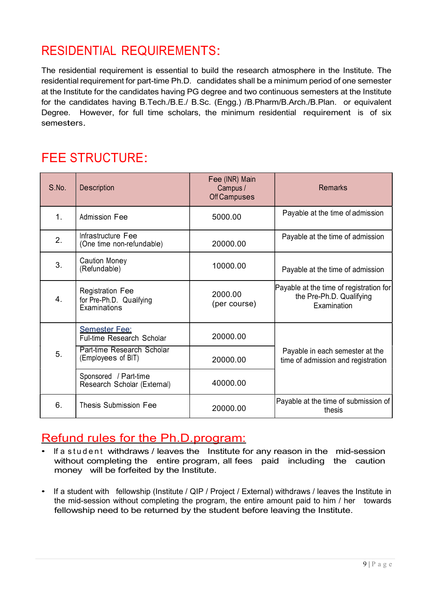### RESIDENTIAL REQUIREMENTS:

The residential requirement is essential to build the research atmosphere in the Institute. The residential requirement for part-time Ph.D. candidates shall be a minimum period of one semester at the Institute for the candidates having PG degree and two continuous semesters at the Institute for the candidates having B.Tech./B.E./ B.Sc. (Engg.) /B.Pharm/B.Arch./B.Plan. or equivalent Degree. However, for full time scholars, the minimum residential requirement is of six semesters.

### FEE STRUCTURE:

| S.No.            | <b>Description</b>                                                  | Fee (INR) Main<br>Campus /<br>Off Campuses | <b>Remarks</b>                                                                     |  |
|------------------|---------------------------------------------------------------------|--------------------------------------------|------------------------------------------------------------------------------------|--|
| $\mathbf{1}$ .   | Admission Fee                                                       | 5000.00                                    | Payable at the time of admission                                                   |  |
| 2.               | Infrastructure Fee<br>(One time non-refundable)                     | 20000.00                                   | Payable at the time of admission                                                   |  |
| 3.               | <b>Caution Money</b><br>(Refundable)                                | 10000.00                                   | Payable at the time of admission                                                   |  |
| $\overline{4}$ . | <b>Registration Fee</b><br>for Pre-Ph.D. Qualifying<br>Examinations | 2000.00<br>(per course)                    | Payable at the time of registration for<br>the Pre-Ph.D. Qualifying<br>Examination |  |
|                  | <b>Semester Fee:</b><br>Full-time Research Scholar                  | 20000.00                                   |                                                                                    |  |
| 5.               | Part-time Research Scholar<br>(Employees of BIT)                    | 20000.00                                   | Payable in each semester at the<br>time of admission and registration              |  |
|                  | Sponsored / Part-time<br>Research Scholar (External)                | 40000.00                                   |                                                                                    |  |
| 6.               | <b>Thesis Submission Fee</b>                                        | 20000.00                                   | Payable at the time of submission of<br>thesis                                     |  |

- Refund rules for the Ph.D.program:<br>• If a student withdraws / leaves the Institute for any reason in the mid-session without completing the entire program, all fees paid including the caution money will be forfeited by the Institute.
- If a student with fellowship (Institute / QIP / Project / External) withdraws / leaves the Institute in the mid-session without completing the program, the entire amount paid to him / her towards fellowship need to be returned by the student before leaving the Institute.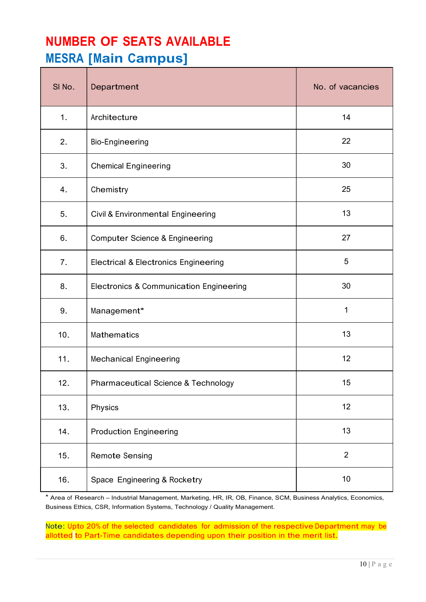## NUMBER OF SEATS AVAILABLE MESRA [Main Campus]

| SI No. | Department                                         | No. of vacancies |  |
|--------|----------------------------------------------------|------------------|--|
| 1.     | Architecture                                       | 14               |  |
| 2.     | <b>Bio-Engineering</b>                             | 22               |  |
| 3.     | <b>Chemical Engineering</b>                        | 30               |  |
| 4.     | Chemistry                                          | 25               |  |
| 5.     | Civil & Environmental Engineering                  | 13               |  |
| 6.     | <b>Computer Science &amp; Engineering</b>          | 27               |  |
| 7.     | <b>Electrical &amp; Electronics Engineering</b>    | $\overline{5}$   |  |
| 8.     | <b>Electronics &amp; Communication Engineering</b> | 30               |  |
| 9.     | Management*                                        | $\mathbf{1}$     |  |
| 10.    | <b>Mathematics</b>                                 | 13               |  |
| 11.    | <b>Mechanical Engineering</b>                      | 12               |  |
| 12.    | <b>Pharmaceutical Science &amp; Technology</b>     | 15               |  |
| 13.    | Physics                                            | 12               |  |
| 14.    | <b>Production Engineering</b>                      | 13               |  |
| 15.    | <b>Remote Sensing</b>                              | $\overline{2}$   |  |
| 16.    | Space Engineering & Rocketry                       | $10$             |  |

\* Area of Research – Industrial Management, Marketing, HR, IR, OB, Finance, SCM, Business Analytics, Economics, Business Ethics, CSR, Information Systems, Technology / Quality Management.

Note: Upto 20% of the selected candidates for admission of the respective Department may be allotted to Part-Time candidates depending upon their position in the merit list.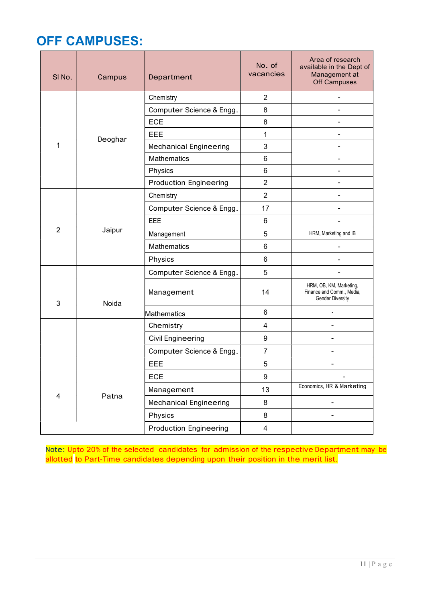### OFF CAMPUSES:

| SINO. | Campus                                                                         | Department                    | No. of<br>vacancies   | Area of research<br>available in the Dept of<br>Management at<br>Off Campuses   |
|-------|--------------------------------------------------------------------------------|-------------------------------|-----------------------|---------------------------------------------------------------------------------|
|       |                                                                                | Chemistry                     | $\overline{2}$        | $\blacksquare$                                                                  |
|       |                                                                                | Computer Science & Engg.      | 8                     |                                                                                 |
|       |                                                                                | ECE                           | 8                     |                                                                                 |
|       | Deoghar                                                                        | <b>EEE</b>                    | $\mathbf{1}$          |                                                                                 |
| 1     |                                                                                | <b>Mechanical Engineering</b> | 3                     |                                                                                 |
|       |                                                                                | <b>Mathematics</b>            | $\,6$                 |                                                                                 |
|       |                                                                                | Physics                       | $\,6\,$               |                                                                                 |
|       |                                                                                | <b>Production Engineering</b> | $\overline{2}$        |                                                                                 |
|       |                                                                                | Chemistry                     | $\overline{2}$        |                                                                                 |
|       |                                                                                | Computer Science & Engg.      | 17                    |                                                                                 |
|       | EEE<br>$\overline{2}$<br>Jaipur<br>Management<br><b>Mathematics</b><br>Physics |                               | 6                     |                                                                                 |
|       |                                                                                | 5                             | HRM, Marketing and IB |                                                                                 |
|       |                                                                                |                               | $6\phantom{1}$        |                                                                                 |
|       |                                                                                |                               | 6                     |                                                                                 |
|       |                                                                                | Computer Science & Engg.      | 5                     |                                                                                 |
| 3     | Noida                                                                          | Management                    | 14                    | HRM, OB, KM, Marketing,<br>Finance and Comm., Media,<br><b>Gender Diversity</b> |
|       |                                                                                | Mathematics                   | 6                     |                                                                                 |
|       |                                                                                | Chemistry                     | $\overline{4}$        | $\overline{\phantom{0}}$                                                        |
|       |                                                                                | <b>Civil Engineering</b>      | 9                     | $\overline{\phantom{a}}$                                                        |
|       |                                                                                | Computer Science & Engg.      | $\overline{7}$        | $\overline{a}$                                                                  |
|       |                                                                                | <b>EEE</b>                    | 5                     | $\blacksquare$                                                                  |
|       |                                                                                | ECE                           | $9\,$                 | $\blacksquare$                                                                  |
|       |                                                                                | Management                    | 13                    | Economics, HR & Marketing                                                       |
| 4     | Patna                                                                          | <b>Mechanical Engineering</b> | $\bf 8$               | $\blacksquare$                                                                  |
|       |                                                                                | Physics                       | $\bf 8$               | $\overline{\phantom{a}}$                                                        |
|       |                                                                                | <b>Production Engineering</b> | $\overline{4}$        |                                                                                 |

Note: Upto 20% of the selected candidates for admission of the respective Department may be allotted to Part-Time candidates depending upon their position in the merit list.